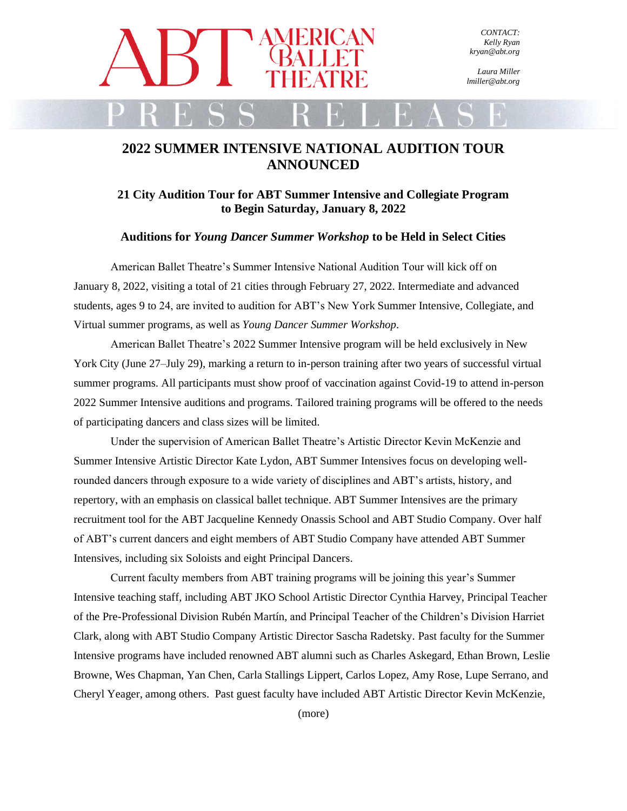

*Laura Miller lmiller@abt.org*

## **2022 SUMMER INTENSIVE NATIONAL AUDITION TOUR ANNOUNCED**

**21 City Audition Tour for ABT Summer Intensive and Collegiate Program to Begin Saturday, January 8, 2022**

**Auditions for** *Young Dancer Summer Workshop* **to be Held in Select Cities**

American Ballet Theatre's Summer Intensive National Audition Tour will kick off on January 8, 2022, visiting a total of 21 cities through February 27, 2022. Intermediate and advanced students, ages 9 to 24, are invited to audition for ABT's New York Summer Intensive, Collegiate, and Virtual summer programs, as well as *Young Dancer Summer Workshop*.

American Ballet Theatre's 2022 Summer Intensive program will be held exclusively in New York City (June 27–July 29), marking a return to in-person training after two years of successful virtual summer programs. All participants must show proof of vaccination against Covid-19 to attend in-person 2022 Summer Intensive auditions and programs. Tailored training programs will be offered to the needs of participating dancers and class sizes will be limited.

Under the supervision of American Ballet Theatre's Artistic Director Kevin McKenzie and Summer Intensive Artistic Director Kate Lydon, ABT Summer Intensives focus on developing wellrounded dancers through exposure to a wide variety of disciplines and ABT's artists, history, and repertory, with an emphasis on classical ballet technique. ABT Summer Intensives are the primary recruitment tool for the ABT Jacqueline Kennedy Onassis School and ABT Studio Company. Over half of ABT's current dancers and eight members of ABT Studio Company have attended ABT Summer Intensives, including six Soloists and eight Principal Dancers.

Current faculty members from ABT training programs will be joining this year's Summer Intensive teaching staff, including ABT JKO School Artistic Director Cynthia Harvey, Principal Teacher of the Pre-Professional Division Rubén Martín, and Principal Teacher of the Children's Division Harriet Clark, along with ABT Studio Company Artistic Director Sascha Radetsky. Past faculty for the Summer Intensive programs have included renowned ABT alumni such as Charles Askegard, Ethan Brown, Leslie Browne, Wes Chapman, Yan Chen, Carla Stallings Lippert, Carlos Lopez, Amy Rose, Lupe Serrano, and Cheryl Yeager, among others. Past guest faculty have included ABT Artistic Director Kevin McKenzie,